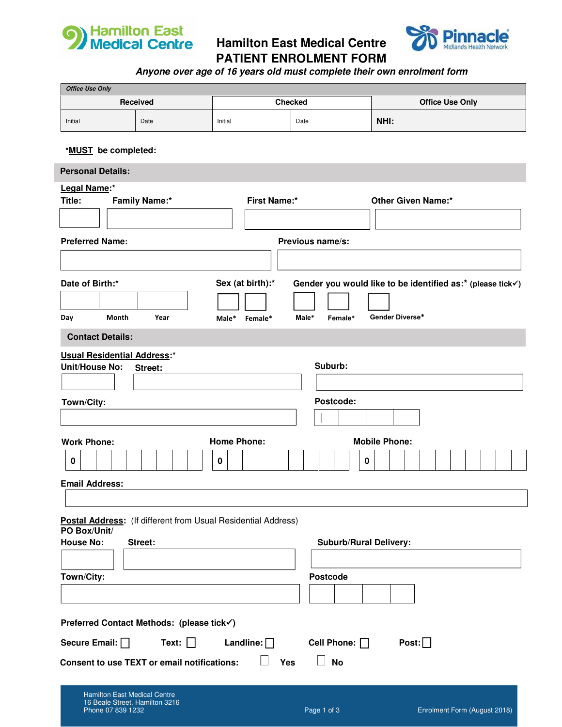

**Hamilton East Medical Centre PATIENT ENROLMENT FORM**



**Anyone over age of 16 years old must complete their own enrolment form**

| <b>Office Use Only</b>                                                                         |                                                    |                                                                      |                               |                                                            |  |  |
|------------------------------------------------------------------------------------------------|----------------------------------------------------|----------------------------------------------------------------------|-------------------------------|------------------------------------------------------------|--|--|
| Received                                                                                       |                                                    | <b>Checked</b>                                                       |                               | <b>Office Use Only</b>                                     |  |  |
| Initial                                                                                        | Date                                               | Initial                                                              | Date                          | NHI:                                                       |  |  |
|                                                                                                |                                                    |                                                                      |                               |                                                            |  |  |
| *MUST be completed:                                                                            |                                                    |                                                                      |                               |                                                            |  |  |
| <b>Personal Details:</b>                                                                       |                                                    |                                                                      |                               |                                                            |  |  |
| Legal Name:*                                                                                   |                                                    |                                                                      |                               |                                                            |  |  |
| Title:                                                                                         | <b>Family Name:*</b>                               | <b>First Name:*</b>                                                  |                               | <b>Other Given Name:*</b>                                  |  |  |
|                                                                                                |                                                    |                                                                      |                               |                                                            |  |  |
| <b>Preferred Name:</b>                                                                         |                                                    |                                                                      | Previous name/s:              |                                                            |  |  |
|                                                                                                |                                                    |                                                                      |                               |                                                            |  |  |
| Date of Birth:*                                                                                |                                                    | Sex (at birth):*                                                     |                               | Gender you would like to be identified as:* (please tick√) |  |  |
|                                                                                                |                                                    |                                                                      |                               |                                                            |  |  |
| Month<br>Day                                                                                   | Year                                               | Male*<br>Female*                                                     | Male*<br>Female*              | Gender Diverse*                                            |  |  |
|                                                                                                |                                                    |                                                                      |                               |                                                            |  |  |
| <b>Contact Details:</b>                                                                        |                                                    |                                                                      |                               |                                                            |  |  |
| <b>Usual Residential Address:*</b><br><b>Unit/House No:</b>                                    | Street:                                            |                                                                      | Suburb:                       |                                                            |  |  |
|                                                                                                |                                                    |                                                                      |                               |                                                            |  |  |
| Town/City:                                                                                     |                                                    |                                                                      | Postcode:                     |                                                            |  |  |
|                                                                                                |                                                    |                                                                      |                               |                                                            |  |  |
|                                                                                                |                                                    |                                                                      |                               |                                                            |  |  |
| <b>Work Phone:</b>                                                                             |                                                    | <b>Home Phone:</b>                                                   |                               | <b>Mobile Phone:</b>                                       |  |  |
| 0                                                                                              |                                                    | $\pmb{0}$                                                            | 0                             |                                                            |  |  |
| <b>Email Address:</b>                                                                          |                                                    |                                                                      |                               |                                                            |  |  |
|                                                                                                |                                                    |                                                                      |                               |                                                            |  |  |
|                                                                                                |                                                    | <b>Postal Address:</b> (If different from Usual Residential Address) |                               |                                                            |  |  |
| PO Box/Unit/<br><b>House No:</b>                                                               | Street:                                            |                                                                      | <b>Suburb/Rural Delivery:</b> |                                                            |  |  |
|                                                                                                |                                                    |                                                                      |                               |                                                            |  |  |
|                                                                                                |                                                    |                                                                      | <b>Postcode</b>               |                                                            |  |  |
| Town/City:                                                                                     |                                                    |                                                                      |                               |                                                            |  |  |
|                                                                                                |                                                    |                                                                      |                               |                                                            |  |  |
| Preferred Contact Methods: (please tick√)                                                      |                                                    |                                                                      |                               |                                                            |  |  |
| Post: $\Box$<br>Secure Email: $\Box$<br>Text: $\Box$<br>Landline: $\Box$<br>Cell Phone: $\Box$ |                                                    |                                                                      |                               |                                                            |  |  |
|                                                                                                | <b>Consent to use TEXT or email notifications:</b> | Yes                                                                  | <b>No</b>                     |                                                            |  |  |
| <b>Hamilton East Medical Centre</b><br>16 Beale Street, Hamilton 3216                          |                                                    |                                                                      |                               |                                                            |  |  |

Phone 07 839 1232 Page 1 of 3 Enrolment Form (August 2018)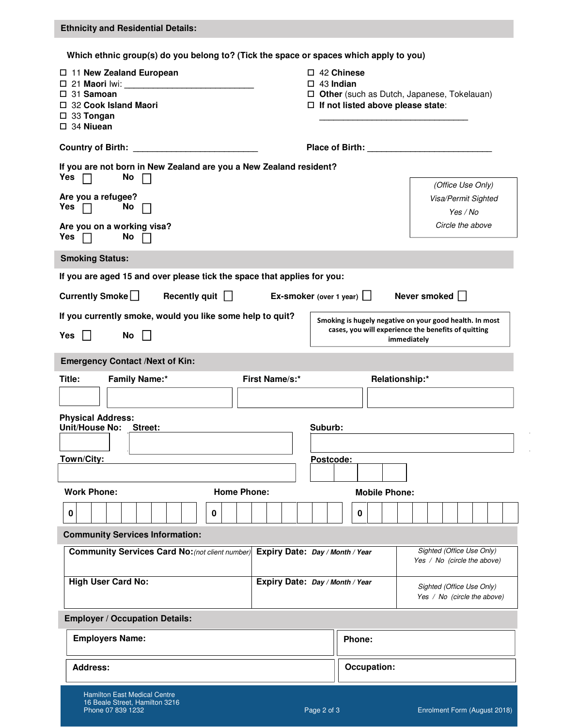| <b>Ethnicity and Residential Details:</b>                                                                                                                                                                                                                       |
|-----------------------------------------------------------------------------------------------------------------------------------------------------------------------------------------------------------------------------------------------------------------|
| Which ethnic group(s) do you belong to? (Tick the space or spaces which apply to you)                                                                                                                                                                           |
| $\Box$ 42 Chinese<br>□ 11 New Zealand European<br>$\Box$ 43 Indian<br>$\square$ 31 Samoan<br>$\Box$ Other (such as Dutch, Japanese, Tokelauan)<br>$\Box$ If not listed above please state:<br>$\Box$ 32 Cook Island Maori<br>□ 33 Tongan<br>$\square$ 34 Niuean |
|                                                                                                                                                                                                                                                                 |
| If you are not born in New Zealand are you a New Zealand resident?<br>Yes $\Box$<br>No                                                                                                                                                                          |
| (Office Use Only)<br>Are you a refugee?<br>Visa/Permit Sighted<br>Yes $\Box$<br><b>No</b><br>Yes / No                                                                                                                                                           |
| Circle the above<br>Are you on a working visa?<br>Yes $\Box$<br>No $\Box$                                                                                                                                                                                       |
| <b>Smoking Status:</b>                                                                                                                                                                                                                                          |
| If you are aged 15 and over please tick the space that applies for you:                                                                                                                                                                                         |
| Currently Smoke $\square$<br>Recently quit $\Box$<br>Never smoked $\Box$<br>Ex-smoker (over 1 year) $\Box$                                                                                                                                                      |
| If you currently smoke, would you like some help to quit?<br>Smoking is hugely negative on your good health. In most                                                                                                                                            |
| cases, you will experience the benefits of quitting<br>No<br>Yes $  $<br>immediately                                                                                                                                                                            |
| <b>Emergency Contact /Next of Kin:</b>                                                                                                                                                                                                                          |
| First Name/s:*<br>Relationship:*<br><b>Family Name:*</b><br>Title:                                                                                                                                                                                              |
|                                                                                                                                                                                                                                                                 |
| <b>Physical Address:</b><br>Unit/House No:<br>Suburb:<br>Street:                                                                                                                                                                                                |
|                                                                                                                                                                                                                                                                 |
| Town/City:<br>Postcode:                                                                                                                                                                                                                                         |
|                                                                                                                                                                                                                                                                 |
| <b>Work Phone:</b><br><b>Home Phone:</b><br><b>Mobile Phone:</b>                                                                                                                                                                                                |
| 0<br>0<br>0                                                                                                                                                                                                                                                     |
| <b>Community Services Information:</b>                                                                                                                                                                                                                          |
| Sighted (Office Use Only)<br><b>Community Services Card No: (not client number)</b><br>Expiry Date: Day / Month / Year<br>Yes / No (circle the above)                                                                                                           |
| <b>High User Card No:</b><br>Expiry Date: Day / Month / Year<br>Sighted (Office Use Only)<br>Yes / No (circle the above)                                                                                                                                        |
| <b>Employer / Occupation Details:</b>                                                                                                                                                                                                                           |
| <b>Employers Name:</b><br>Phone:                                                                                                                                                                                                                                |
| <b>Address:</b><br>Occupation:                                                                                                                                                                                                                                  |
| <b>Hamilton East Medical Centre</b><br>16 Beale Street, Hamilton 3216<br>Phone 07 839 1232<br>Page 2 of 3<br>Enrolment Form (August 2018)                                                                                                                       |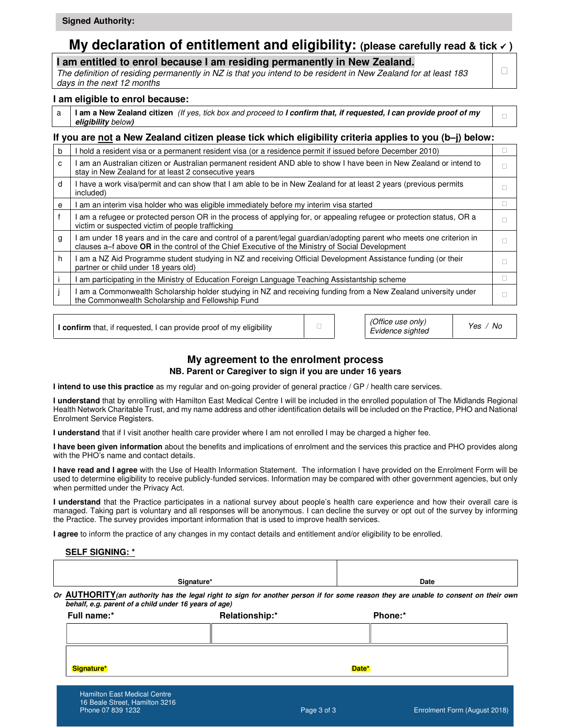#### **My declaration of entitlement and eligibility:** (please carefully read & tick  $\checkmark$ ) **Ethnicity Details:**

**I am entitled to enrol because I am residing permanently in New Zealand.** 

The definition of residing permanently in NZ is that you intend to be resident in New Zealand for at least 183 days in the next 12 months

#### **I am eligible to enrol because:**

a **I am a New Zealand citizen** (If yes, tick box and proceed to **I confirm that, if requested, I can provide proof of my eligibility** below**)**

#### **If you are not a New Zealand citizen please tick which eligibility criteria applies to you (b–j) below:**

| b | I hold a resident visa or a permanent resident visa (or a residence permit if issued before December 2010)                                                                                                              |
|---|-------------------------------------------------------------------------------------------------------------------------------------------------------------------------------------------------------------------------|
| C | I am an Australian citizen or Australian permanent resident AND able to show I have been in New Zealand or intend to<br>stay in New Zealand for at least 2 consecutive years                                            |
| d | I have a work visa/permit and can show that I am able to be in New Zealand for at least 2 years (previous permits<br>included)                                                                                          |
| e | am an interim visa holder who was eligible immediately before my interim visa started                                                                                                                                   |
|   | am a refugee or protected person OR in the process of applying for, or appealing refugee or protection status, OR a<br>victim or suspected victim of people trafficking                                                 |
| g | am under 18 years and in the care and control of a parent/legal guardian/adopting parent who meets one criterion in<br>clauses a–f above OR in the control of the Chief Executive of the Ministry of Social Development |
| h | I am a NZ Aid Programme student studying in NZ and receiving Official Development Assistance funding (or their<br>partner or child under 18 years old)                                                                  |
|   | am participating in the Ministry of Education Foreign Language Teaching Assistantship scheme                                                                                                                            |
|   | am a Commonwealth Scholarship holder studying in NZ and receiving funding from a New Zealand university under<br>the Commonwealth Scholarship and Fellowship Fund                                                       |

**I confirm** that, if requested, I can provide proof of my eligibility

(Office use only) Evidence sighted Yes / No

#### **My agreement to the enrolment process NB. Parent or Caregiver to sign if you are under 16 years**

**I intend to use this practice** as my regular and on-going provider of general practice / GP / health care services.

**I understand** that by enrolling with Hamilton East Medical Centre I will be included in the enrolled population of The Midlands Regional Health Network Charitable Trust, and my name address and other identification details will be included on the Practice, PHO and National Enrolment Service Registers.

**I understand** that if I visit another health care provider where I am not enrolled I may be charged a higher fee.

**I have been given information** about the benefits and implications of enrolment and the services this practice and PHO provides along with the PHO's name and contact details.

**I have read and I agree** with the Use of Health Information Statement. The information I have provided on the Enrolment Form will be used to determine eligibility to receive publicly-funded services. Information may be compared with other government agencies, but only when permitted under the Privacy Act.

**I understand** that the Practice participates in a national survey about people's health care experience and how their overall care is managed. Taking part is voluntary and all responses will be anonymous. I can decline the survey or opt out of the survey by informing the Practice. The survey provides important information that is used to improve health services.

**I agree** to inform the practice of any changes in my contact details and entitlement and/or eligibility to be enrolled.

#### **SELF SIGNING: \***

| Signature*<br>Or AUTHORITY (an authority has the legal right to sign for another person if for some reason they are unable to consent on their own<br>behalf, e.g. parent of a child under 16 years of age) |                |             | Date                         |  |
|-------------------------------------------------------------------------------------------------------------------------------------------------------------------------------------------------------------|----------------|-------------|------------------------------|--|
| Full name:*                                                                                                                                                                                                 | Relationship:* |             | Phone:*                      |  |
| Signature*                                                                                                                                                                                                  |                | Date*       |                              |  |
| <b>Hamilton East Medical Centre</b><br>16 Beale Street, Hamilton 3216<br>Phone 07 839 1232                                                                                                                  |                | Page 3 of 3 | Enrolment Form (August 2018) |  |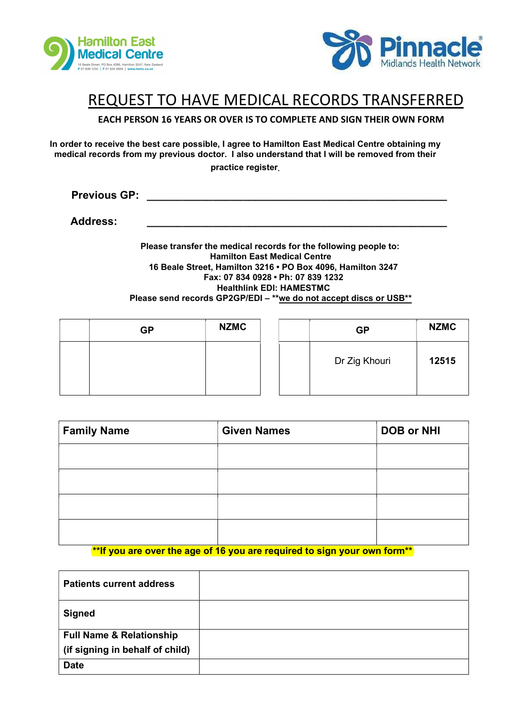



#### REQUEST TO HAVE MEDICAL RECORDS TRANSFERRED

EACH PERSON 16 YEARS OR OVER IS TO COMPLETE AND SIGN THEIR OWN FORM

In order to receive the best care possible, I agree to Hamilton East Medical Centre obtaining my medical records from my previous doctor. I also understand that I will be removed from their practice register.

Previous GP: \_\_\_\_\_\_\_\_\_\_\_\_\_\_\_\_\_\_\_\_\_\_\_\_\_\_\_\_\_\_\_\_\_\_\_\_\_\_\_\_\_\_\_\_\_\_\_\_\_\_

Address: \_\_\_\_\_\_\_\_\_\_\_\_\_\_\_\_\_\_\_\_\_\_\_\_\_\_\_\_\_\_\_\_\_\_\_\_\_\_\_\_\_\_\_\_\_\_\_\_\_\_

Please transfer the medical records for the following people to: Hamilton East Medical Centre 16 Beale Street, Hamilton 3216 • PO Box 4096, Hamilton 3247 Fax: 07 834 0928 • Ph: 07 839 1232 Healthlink EDI: HAMESTMC Please send records GP2GP/EDI – \*\*we do not accept discs or USB\*\*

| <b>GP</b> | <b>NZMC</b> |  | <b>GP</b>     | <b>NZMC</b> |
|-----------|-------------|--|---------------|-------------|
|           |             |  | Dr Zig Khouri | 12515       |

| <b>Family Name</b> | <b>Given Names</b> | <b>DOB or NHI</b> |
|--------------------|--------------------|-------------------|
|                    |                    |                   |
|                    |                    |                   |
|                    |                    |                   |
|                    |                    |                   |

\*\*If you are over the age of 16 you are required to sign your own form\*\*

| <b>Patients current address</b>     |  |
|-------------------------------------|--|
| <b>Signed</b>                       |  |
| <b>Full Name &amp; Relationship</b> |  |
| (if signing in behalf of child)     |  |
| <b>Date</b>                         |  |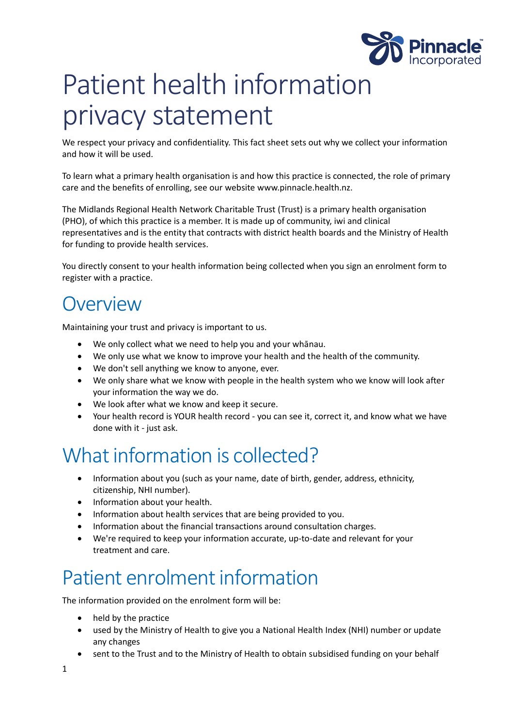

# Patient health information privacy statement

We respect your privacy and confidentiality. This fact sheet sets out why we collect your information and how it will be used.

To learn what a primary health organisation is and how this practice is connected, the role of primary care and the benefits of enrolling, see our website [www.pinnacle.health.nz.](https://www.pinnacle.co.nz/resources/administration/www.pinnacle.health.nz)

The Midlands Regional Health Network Charitable Trust (Trust) is a primary health organisation (PHO), of which this practice is a member. It is made up of community, iwi and clinical representatives and is the entity that contracts with district health boards and the Ministry of Health for funding to provide health services.

You directly consent to your health information being collected when you sign an enrolment form to register with a practice.

#### **Overview**

Maintaining your trust and privacy is important to us.

- We only collect what we need to help you and your whānau.
- We only use what we know to improve your health and the health of the community.
- We don't sell anything we know to anyone, ever.
- We only share what we know with people in the health system who we know will look after your information the way we do.
- We look after what we know and keep it secure.
- Your health record is YOUR health record you can see it, correct it, and know what we have done with it - just ask.

#### What information is collected?

- Information about you (such as your name, date of birth, gender, address, ethnicity, citizenship, NHI number).
- Information about your health.
- Information about health services that are being provided to you.
- Information about the financial transactions around consultation charges.
- We're required to keep your information accurate, up-to-date and relevant for your treatment and care.

#### Patient enrolment information

The information provided on the enrolment form will be:

- held by the practice
- used by the Ministry of Health to give you a National Health Index (NHI) number or update any changes
- sent to the Trust and to the Ministry of Health to obtain subsidised funding on your behalf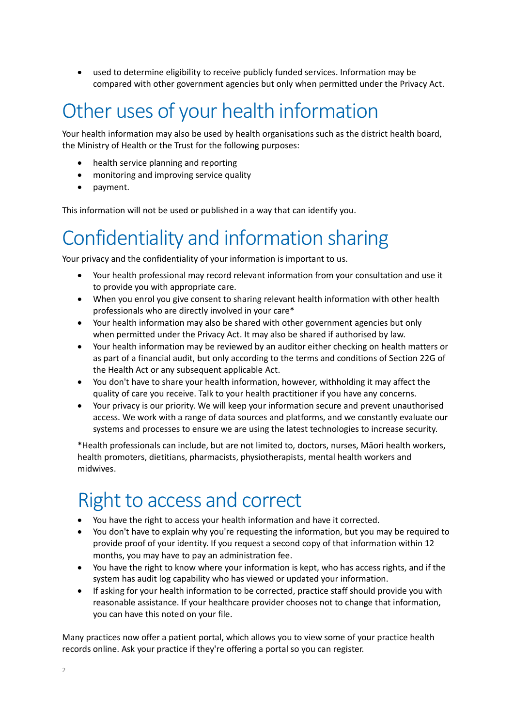• used to determine eligibility to receive publicly funded services. Information may be compared with other government agencies but only when permitted under the Privacy Act.

### Other uses of your health information

Your health information may also be used by health organisations such as the district health board, the Ministry of Health or the Trust for the following purposes:

- health service planning and reporting
- monitoring and improving service quality
- payment.

This information will not be used or published in a way that can identify you.

### Confidentiality and information sharing

Your privacy and the confidentiality of your information is important to us.

- Your health professional may record relevant information from your consultation and use it to provide you with appropriate care.
- When you enrol you give consent to sharing relevant health information with other health professionals who are directly involved in your care\*
- Your health information may also be shared with other government agencies but only when permitted under the Privacy Act. It may also be shared if authorised by law.
- Your health information may be reviewed by an auditor either checking on health matters or as part of a financial audit, but only according to the terms and conditions of Section 22G of the Health Act or any subsequent applicable Act.
- You don't have to share your health information, however, withholding it may affect the quality of care you receive. Talk to your health practitioner if you have any concerns.
- Your privacy is our priority. We will keep your information secure and prevent unauthorised access. We work with a range of data sources and platforms, and we constantly evaluate our systems and processes to ensure we are using the latest technologies to increase security.

\*Health professionals can include, but are not limited to, doctors, nurses, Māori health workers, health promoters, dietitians, pharmacists, physiotherapists, mental health workers and midwives.

#### Right to access and correct

- You have the right to access your health information and have it corrected.
- You don't have to explain why you're requesting the information, but you may be required to provide proof of your identity. If you request a second copy of that information within 12 months, you may have to pay an administration fee.
- You have the right to know where your information is kept, who has access rights, and if the system has audit log capability who has viewed or updated your information.
- If asking for your health information to be corrected, practice staff should provide you with reasonable assistance. If your healthcare provider chooses not to change that information, you can have this noted on your file.

Many practices now offer a patient portal, which allows you to view some of your practice health records online. Ask your practice if they're offering a portal so you can register.